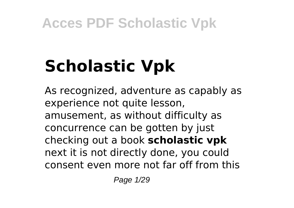# **Scholastic Vpk**

As recognized, adventure as capably as experience not quite lesson, amusement, as without difficulty as concurrence can be gotten by just checking out a book **scholastic vpk** next it is not directly done, you could consent even more not far off from this

Page 1/29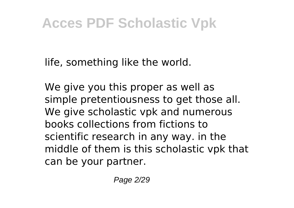life, something like the world.

We give you this proper as well as simple pretentiousness to get those all. We give scholastic vpk and numerous books collections from fictions to scientific research in any way. in the middle of them is this scholastic vpk that can be your partner.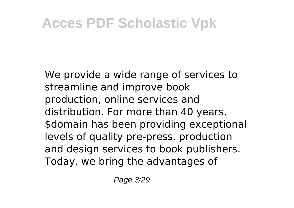We provide a wide range of services to streamline and improve book production, online services and distribution. For more than 40 years, \$domain has been providing exceptional levels of quality pre-press, production and design services to book publishers. Today, we bring the advantages of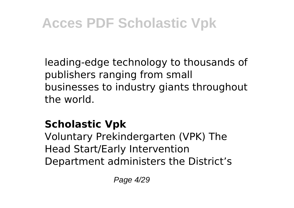leading-edge technology to thousands of publishers ranging from small businesses to industry giants throughout the world.

### **Scholastic Vpk**

Voluntary Prekindergarten (VPK) The Head Start/Early Intervention Department administers the District's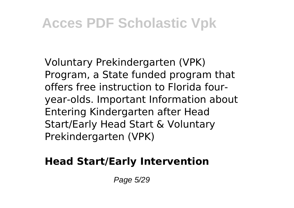Voluntary Prekindergarten (VPK) Program, a State funded program that offers free instruction to Florida fouryear-olds. Important Information about Entering Kindergarten after Head Start/Early Head Start & Voluntary Prekindergarten (VPK)

### **Head Start/Early Intervention**

Page 5/29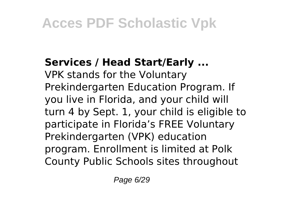### **Services / Head Start/Early ...**

VPK stands for the Voluntary Prekindergarten Education Program. If you live in Florida, and your child will turn 4 by Sept. 1, your child is eligible to participate in Florida's FREE Voluntary Prekindergarten (VPK) education program. Enrollment is limited at Polk County Public Schools sites throughout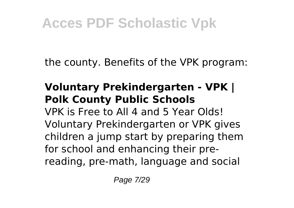the county. Benefits of the VPK program:

### **Voluntary Prekindergarten - VPK | Polk County Public Schools**

VPK is Free to All 4 and 5 Year Olds! Voluntary Prekindergarten or VPK gives children a jump start by preparing them for school and enhancing their prereading, pre-math, language and social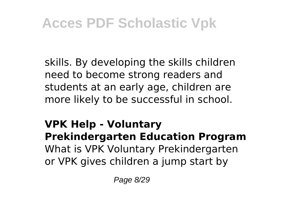skills. By developing the skills children need to become strong readers and students at an early age, children are more likely to be successful in school.

### **VPK Help - Voluntary Prekindergarten Education Program** What is VPK Voluntary Prekindergarten or VPK gives children a jump start by

Page 8/29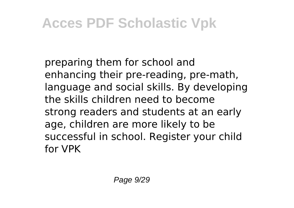preparing them for school and enhancing their pre-reading, pre-math, language and social skills. By developing the skills children need to become strong readers and students at an early age, children are more likely to be successful in school. Register your child for VPK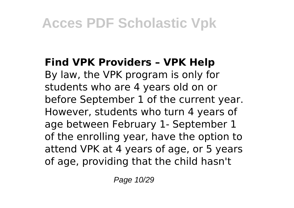#### **Find VPK Providers – VPK Help**

By law, the VPK program is only for students who are 4 years old on or before September 1 of the current year. However, students who turn 4 years of age between February 1- September 1 of the enrolling year, have the option to attend VPK at 4 years of age, or 5 years of age, providing that the child hasn't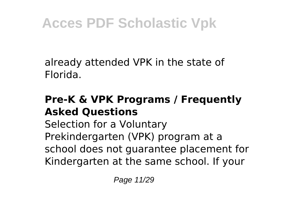already attended VPK in the state of Florida.

### **Pre-K & VPK Programs / Frequently Asked Questions**

Selection for a Voluntary Prekindergarten (VPK) program at a school does not guarantee placement for Kindergarten at the same school. If your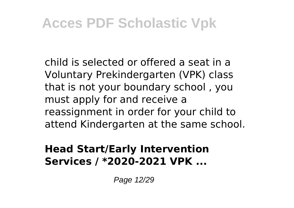child is selected or offered a seat in a Voluntary Prekindergarten (VPK) class that is not your boundary school , you must apply for and receive a reassignment in order for your child to attend Kindergarten at the same school.

#### **Head Start/Early Intervention Services / \*2020-2021 VPK ...**

Page 12/29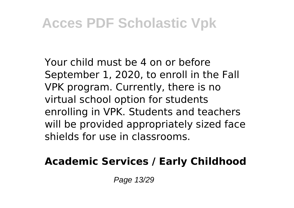Your child must be 4 on or before September 1, 2020, to enroll in the Fall VPK program. Currently, there is no virtual school option for students enrolling in VPK. Students and teachers will be provided appropriately sized face shields for use in classrooms.

### **Academic Services / Early Childhood**

Page 13/29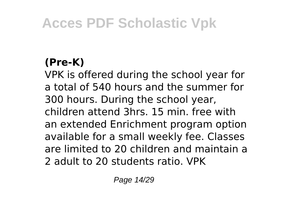### **(Pre-K)**

VPK is offered during the school year for a total of 540 hours and the summer for 300 hours. During the school year, children attend 3hrs. 15 min. free with an extended Enrichment program option available for a small weekly fee. Classes are limited to 20 children and maintain a 2 adult to 20 students ratio. VPK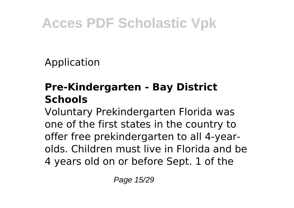Application

### **Pre-Kindergarten - Bay District Schools**

Voluntary Prekindergarten Florida was one of the first states in the country to offer free prekindergarten to all 4-yearolds. Children must live in Florida and be 4 years old on or before Sept. 1 of the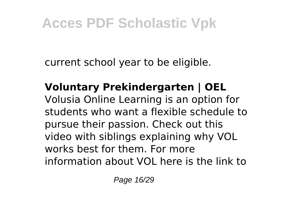current school year to be eligible.

**Voluntary Prekindergarten | OEL** Volusia Online Learning is an option for students who want a flexible schedule to pursue their passion. Check out this video with siblings explaining why VOL works best for them. For more information about VOL here is the link to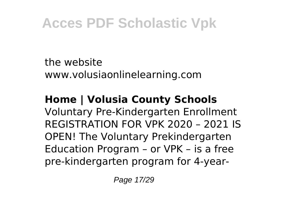the website www.volusiaonlinelearning.com

**Home | Volusia County Schools** Voluntary Pre-Kindergarten Enrollment REGISTRATION FOR VPK 2020 – 2021 IS OPEN! The Voluntary Prekindergarten Education Program – or VPK – is a free pre-kindergarten program for 4-year-

Page 17/29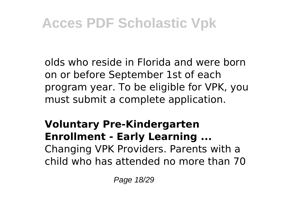olds who reside in Florida and were born on or before September 1st of each program year. To be eligible for VPK, you must submit a complete application.

### **Voluntary Pre-Kindergarten Enrollment - Early Learning ...** Changing VPK Providers. Parents with a child who has attended no more than 70

Page 18/29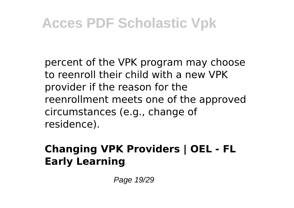percent of the VPK program may choose to reenroll their child with a new VPK provider if the reason for the reenrollment meets one of the approved circumstances (e.g., change of residence).

### **Changing VPK Providers | OEL - FL Early Learning**

Page 19/29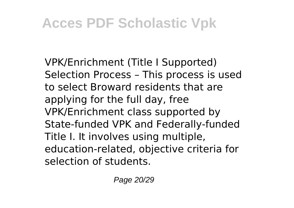VPK/Enrichment (Title I Supported) Selection Process – This process is used to select Broward residents that are applying for the full day, free VPK/Enrichment class supported by State-funded VPK and Federally-funded Title I. It involves using multiple, education-related, objective criteria for selection of students.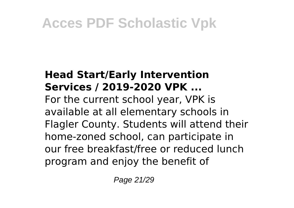#### **Head Start/Early Intervention Services / 2019-2020 VPK ...**

For the current school year, VPK is available at all elementary schools in Flagler County. Students will attend their home-zoned school, can participate in our free breakfast/free or reduced lunch program and enjoy the benefit of

Page 21/29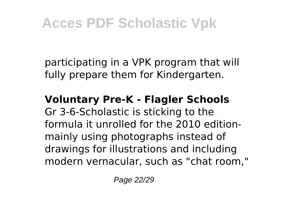participating in a VPK program that will fully prepare them for Kindergarten.

#### **Voluntary Pre-K - Flagler Schools**

Gr 3-6-Scholastic is sticking to the formula it unrolled for the 2010 editionmainly using photographs instead of drawings for illustrations and including modern vernacular, such as "chat room,"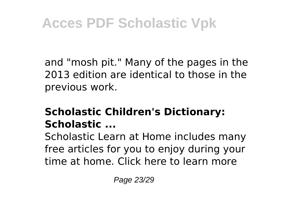and "mosh pit." Many of the pages in the 2013 edition are identical to those in the previous work.

#### **Scholastic Children's Dictionary: Scholastic ...**

Scholastic Learn at Home includes many free articles for you to enjoy during your time at home. Click here to learn more

Page 23/29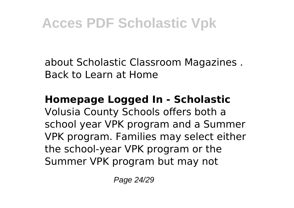about Scholastic Classroom Magazines . Back to Learn at Home

### **Homepage Logged In - Scholastic**

Volusia County Schools offers both a school year VPK program and a Summer VPK program. Families may select either the school-year VPK program or the Summer VPK program but may not

Page 24/29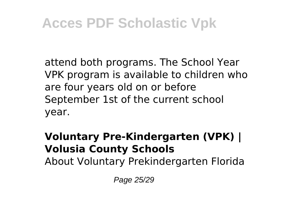attend both programs. The School Year VPK program is available to children who are four years old on or before September 1st of the current school year.

### **Voluntary Pre-Kindergarten (VPK) | Volusia County Schools**

About Voluntary Prekindergarten Florida

Page 25/29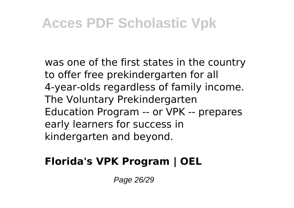was one of the first states in the country to offer free prekindergarten for all 4-year-olds regardless of family income. The Voluntary Prekindergarten Education Program -- or VPK -- prepares early learners for success in kindergarten and beyond.

### **Florida's VPK Program | OEL**

Page 26/29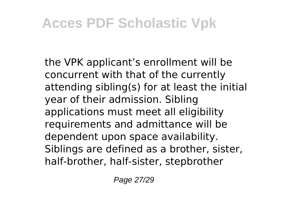the VPK applicant's enrollment will be concurrent with that of the currently attending sibling(s) for at least the initial year of their admission. Sibling applications must meet all eligibility requirements and admittance will be dependent upon space availability. Siblings are defined as a brother, sister, half-brother, half-sister, stepbrother

Page 27/29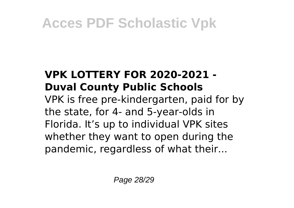### **VPK LOTTERY FOR 2020-2021 - Duval County Public Schools**

VPK is free pre-kindergarten, paid for by the state, for 4- and 5-year-olds in Florida. It's up to individual VPK sites whether they want to open during the pandemic, regardless of what their...